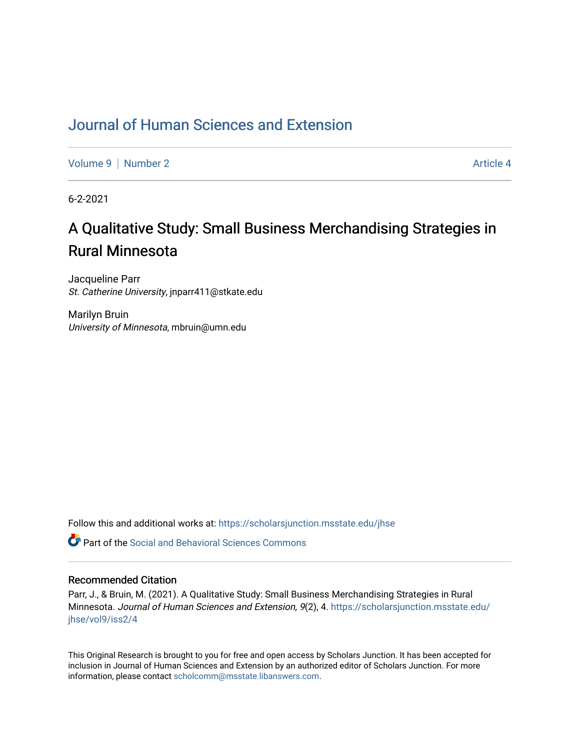## [Journal of Human Sciences and Extension](https://scholarsjunction.msstate.edu/jhse)

[Volume 9](https://scholarsjunction.msstate.edu/jhse/vol9) | [Number 2](https://scholarsjunction.msstate.edu/jhse/vol9/iss2) Article 4

6-2-2021

# A Qualitative Study: Small Business Merchandising Strategies in Rural Minnesota

Jacqueline Parr St. Catherine University, jnparr411@stkate.edu

Marilyn Bruin University of Minnesota, mbruin@umn.edu

Follow this and additional works at: [https://scholarsjunction.msstate.edu/jhse](https://scholarsjunction.msstate.edu/jhse?utm_source=scholarsjunction.msstate.edu%2Fjhse%2Fvol9%2Fiss2%2F4&utm_medium=PDF&utm_campaign=PDFCoverPages)

 $\bullet$  Part of the Social and Behavioral Sciences Commons

#### Recommended Citation

Parr, J., & Bruin, M. (2021). A Qualitative Study: Small Business Merchandising Strategies in Rural Minnesota. Journal of Human Sciences and Extension, 9(2), 4. [https://scholarsjunction.msstate.edu/](https://scholarsjunction.msstate.edu/jhse/vol9/iss2/4?utm_source=scholarsjunction.msstate.edu%2Fjhse%2Fvol9%2Fiss2%2F4&utm_medium=PDF&utm_campaign=PDFCoverPages) [jhse/vol9/iss2/4](https://scholarsjunction.msstate.edu/jhse/vol9/iss2/4?utm_source=scholarsjunction.msstate.edu%2Fjhse%2Fvol9%2Fiss2%2F4&utm_medium=PDF&utm_campaign=PDFCoverPages)

This Original Research is brought to you for free and open access by Scholars Junction. It has been accepted for inclusion in Journal of Human Sciences and Extension by an authorized editor of Scholars Junction. For more information, please contact [scholcomm@msstate.libanswers.com](mailto:scholcomm@msstate.libanswers.com).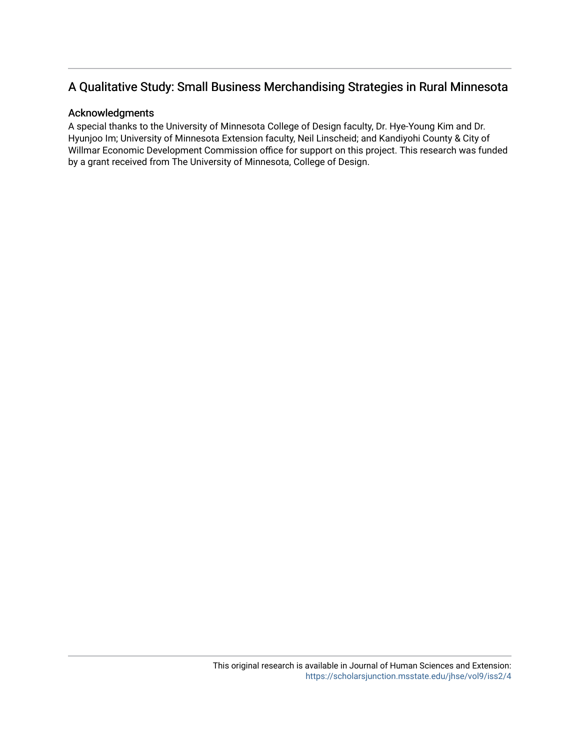## A Qualitative Study: Small Business Merchandising Strategies in Rural Minnesota

#### Acknowledgments

A special thanks to the University of Minnesota College of Design faculty, Dr. Hye-Young Kim and Dr. Hyunjoo Im; University of Minnesota Extension faculty, Neil Linscheid; and Kandiyohi County & City of Willmar Economic Development Commission office for support on this project. This research was funded by a grant received from The University of Minnesota, College of Design.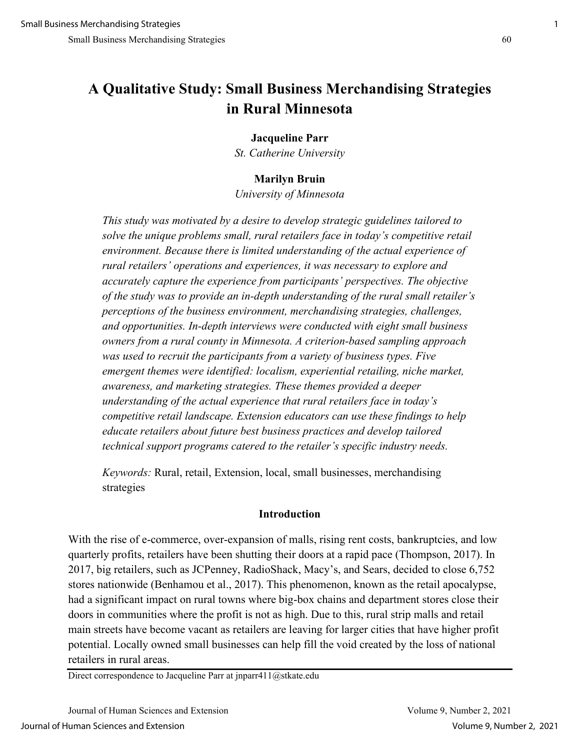## **A Qualitative Study: Small Business Merchandising Strategies in Rural Minnesota**

## **Jacqueline Parr**

*St. Catherine University* 

## **Marilyn Bruin**

*University of Minnesota*

*This study was motivated by a desire to develop strategic guidelines tailored to solve the unique problems small, rural retailers face in today's competitive retail environment. Because there is limited understanding of the actual experience of rural retailers' operations and experiences, it was necessary to explore and accurately capture the experience from participants' perspectives. The objective of the study was to provide an in-depth understanding of the rural small retailer's perceptions of the business environment, merchandising strategies, challenges, and opportunities. In-depth interviews were conducted with eight small business owners from a rural county in Minnesota. A criterion-based sampling approach was used to recruit the participants from a variety of business types. Five emergent themes were identified: localism, experiential retailing, niche market, awareness, and marketing strategies. These themes provided a deeper understanding of the actual experience that rural retailers face in today's competitive retail landscape. Extension educators can use these findings to help educate retailers about future best business practices and develop tailored technical support programs catered to the retailer's specific industry needs.* 

*Keywords:* Rural, retail, Extension, local, small businesses, merchandising strategies

#### **Introduction**

With the rise of e-commerce, over-expansion of malls, rising rent costs, bankruptcies, and low quarterly profits, retailers have been shutting their doors at a rapid pace (Thompson, 2017). In 2017, big retailers, such as JCPenney, RadioShack, Macy's, and Sears, decided to close 6,752 stores nationwide (Benhamou et al., 2017). This phenomenon, known as the retail apocalypse, had a significant impact on rural towns where big-box chains and department stores close their doors in communities where the profit is not as high. Due to this, rural strip malls and retail main streets have become vacant as retailers are leaving for larger cities that have higher profit potential. Locally owned small businesses can help fill the void created by the loss of national retailers in rural areas.

Direct correspondence to Jacqueline Parr at jnparr411@stkate.edu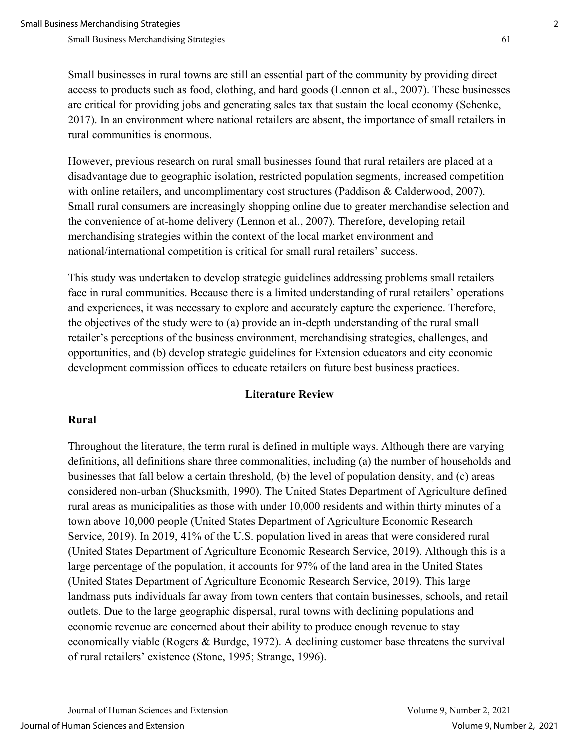Small businesses in rural towns are still an essential part of the community by providing direct access to products such as food, clothing, and hard goods (Lennon et al., 2007). These businesses are critical for providing jobs and generating sales tax that sustain the local economy (Schenke, 2017). In an environment where national retailers are absent, the importance of small retailers in rural communities is enormous.

However, previous research on rural small businesses found that rural retailers are placed at a disadvantage due to geographic isolation, restricted population segments, increased competition with online retailers, and uncomplimentary cost structures (Paddison & Calderwood, 2007). Small rural consumers are increasingly shopping online due to greater merchandise selection and the convenience of at-home delivery (Lennon et al., 2007). Therefore, developing retail merchandising strategies within the context of the local market environment and national/international competition is critical for small rural retailers' success.

This study was undertaken to develop strategic guidelines addressing problems small retailers face in rural communities. Because there is a limited understanding of rural retailers' operations and experiences, it was necessary to explore and accurately capture the experience. Therefore, the objectives of the study were to (a) provide an in-depth understanding of the rural small retailer's perceptions of the business environment, merchandising strategies, challenges, and opportunities, and (b) develop strategic guidelines for Extension educators and city economic development commission offices to educate retailers on future best business practices.

## **Literature Review**

## **Rural**

Throughout the literature, the term rural is defined in multiple ways. Although there are varying definitions, all definitions share three commonalities, including (a) the number of households and businesses that fall below a certain threshold, (b) the level of population density, and (c) areas considered non-urban (Shucksmith, 1990). The United States Department of Agriculture defined rural areas as municipalities as those with under 10,000 residents and within thirty minutes of a town above 10,000 people (United States Department of Agriculture Economic Research Service, 2019). In 2019, 41% of the U.S. population lived in areas that were considered rural (United States Department of Agriculture Economic Research Service, 2019). Although this is a large percentage of the population, it accounts for 97% of the land area in the United States (United States Department of Agriculture Economic Research Service, 2019). This large landmass puts individuals far away from town centers that contain businesses, schools, and retail outlets. Due to the large geographic dispersal, rural towns with declining populations and economic revenue are concerned about their ability to produce enough revenue to stay economically viable (Rogers & Burdge, 1972). A declining customer base threatens the survival of rural retailers' existence (Stone, 1995; Strange, 1996).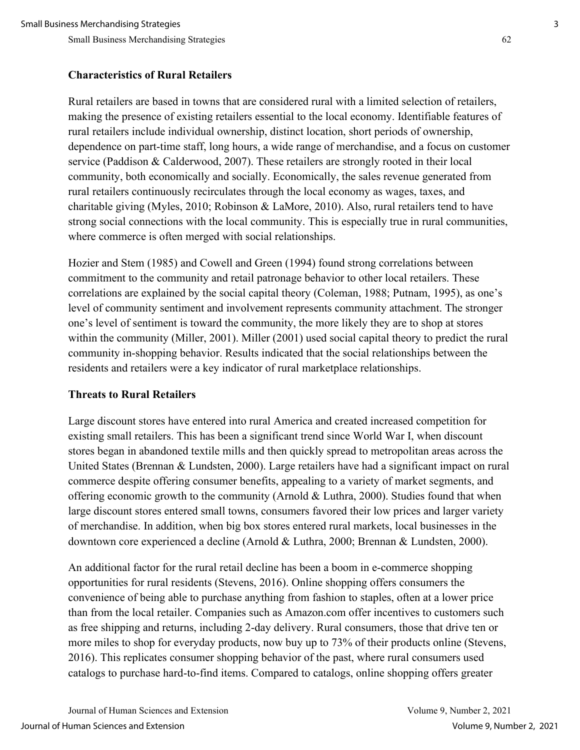## **Characteristics of Rural Retailers**

Rural retailers are based in towns that are considered rural with a limited selection of retailers, making the presence of existing retailers essential to the local economy. Identifiable features of rural retailers include individual ownership, distinct location, short periods of ownership, dependence on part-time staff, long hours, a wide range of merchandise, and a focus on customer service (Paddison & Calderwood, 2007). These retailers are strongly rooted in their local community, both economically and socially. Economically, the sales revenue generated from rural retailers continuously recirculates through the local economy as wages, taxes, and charitable giving (Myles, 2010; Robinson & LaMore, 2010). Also, rural retailers tend to have strong social connections with the local community. This is especially true in rural communities, where commerce is often merged with social relationships.

Hozier and Stem (1985) and Cowell and Green (1994) found strong correlations between commitment to the community and retail patronage behavior to other local retailers. These correlations are explained by the social capital theory (Coleman, 1988; Putnam, 1995), as one's level of community sentiment and involvement represents community attachment. The stronger one's level of sentiment is toward the community, the more likely they are to shop at stores within the community (Miller, 2001). Miller (2001) used social capital theory to predict the rural community in-shopping behavior. Results indicated that the social relationships between the residents and retailers were a key indicator of rural marketplace relationships.

## **Threats to Rural Retailers**

Large discount stores have entered into rural America and created increased competition for existing small retailers. This has been a significant trend since World War I, when discount stores began in abandoned textile mills and then quickly spread to metropolitan areas across the United States (Brennan & Lundsten, 2000). Large retailers have had a significant impact on rural commerce despite offering consumer benefits, appealing to a variety of market segments, and offering economic growth to the community (Arnold & Luthra, 2000). Studies found that when large discount stores entered small towns, consumers favored their low prices and larger variety of merchandise. In addition, when big box stores entered rural markets, local businesses in the downtown core experienced a decline (Arnold & Luthra, 2000; Brennan & Lundsten, 2000).

An additional factor for the rural retail decline has been a boom in e-commerce shopping opportunities for rural residents (Stevens, 2016). Online shopping offers consumers the convenience of being able to purchase anything from fashion to staples, often at a lower price than from the local retailer. Companies such as Amazon.com offer incentives to customers such as free shipping and returns, including 2-day delivery. Rural consumers, those that drive ten or more miles to shop for everyday products, now buy up to 73% of their products online (Stevens, 2016). This replicates consumer shopping behavior of the past, where rural consumers used catalogs to purchase hard-to-find items. Compared to catalogs, online shopping offers greater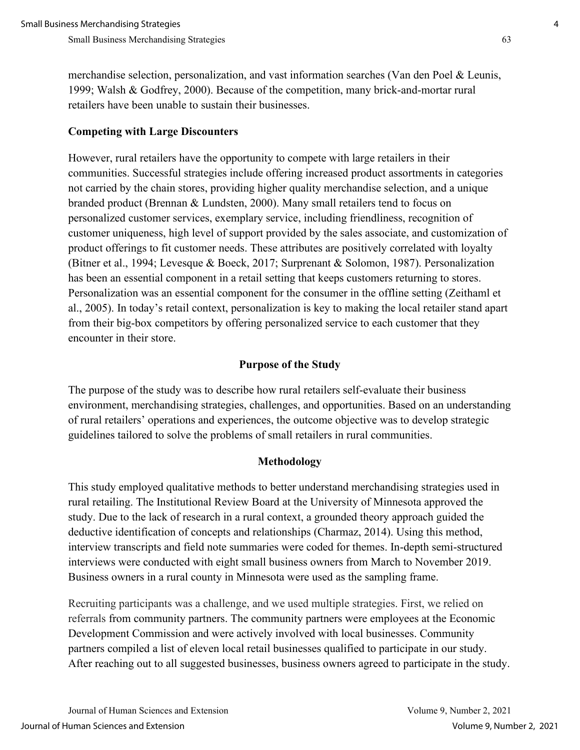merchandise selection, personalization, and vast information searches (Van den Poel & Leunis, 1999; Walsh & Godfrey, 2000). Because of the competition, many brick-and-mortar rural retailers have been unable to sustain their businesses.

## **Competing with Large Discounters**

However, rural retailers have the opportunity to compete with large retailers in their communities. Successful strategies include offering increased product assortments in categories not carried by the chain stores, providing higher quality merchandise selection, and a unique branded product (Brennan & Lundsten, 2000). Many small retailers tend to focus on personalized customer services, exemplary service, including friendliness, recognition of customer uniqueness, high level of support provided by the sales associate, and customization of product offerings to fit customer needs. These attributes are positively correlated with loyalty (Bitner et al., 1994; Levesque & Boeck, 2017; Surprenant & Solomon, 1987). Personalization has been an essential component in a retail setting that keeps customers returning to stores. Personalization was an essential component for the consumer in the offline setting (Zeithaml et al., 2005). In today's retail context, personalization is key to making the local retailer stand apart from their big-box competitors by offering personalized service to each customer that they encounter in their store.

## **Purpose of the Study**

The purpose of the study was to describe how rural retailers self-evaluate their business environment, merchandising strategies, challenges, and opportunities. Based on an understanding of rural retailers' operations and experiences, the outcome objective was to develop strategic guidelines tailored to solve the problems of small retailers in rural communities.

#### **Methodology**

This study employed qualitative methods to better understand merchandising strategies used in rural retailing. The Institutional Review Board at the University of Minnesota approved the study. Due to the lack of research in a rural context, a grounded theory approach guided the deductive identification of concepts and relationships (Charmaz, 2014). Using this method, interview transcripts and field note summaries were coded for themes. In-depth semi-structured interviews were conducted with eight small business owners from March to November 2019. Business owners in a rural county in Minnesota were used as the sampling frame.

Recruiting participants was a challenge, and we used multiple strategies. First, we relied on referrals from community partners. The community partners were employees at the Economic Development Commission and were actively involved with local businesses. Community partners compiled a list of eleven local retail businesses qualified to participate in our study. After reaching out to all suggested businesses, business owners agreed to participate in the study.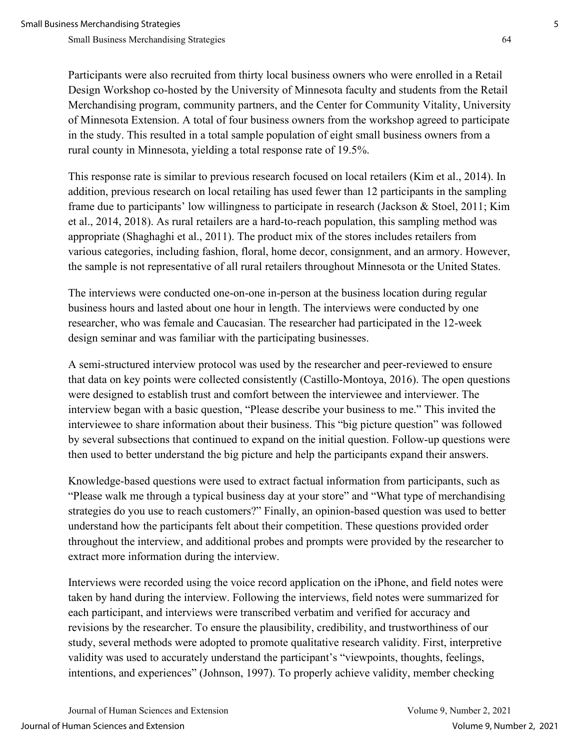Participants were also recruited from thirty local business owners who were enrolled in a Retail Design Workshop co-hosted by the University of Minnesota faculty and students from the Retail Merchandising program, community partners, and the Center for Community Vitality, University of Minnesota Extension. A total of four business owners from the workshop agreed to participate in the study. This resulted in a total sample population of eight small business owners from a rural county in Minnesota, yielding a total response rate of 19.5%.

This response rate is similar to previous research focused on local retailers (Kim et al., 2014). In addition, previous research on local retailing has used fewer than 12 participants in the sampling frame due to participants' low willingness to participate in research (Jackson & Stoel, 2011; Kim et al., 2014, 2018). As rural retailers are a hard-to-reach population, this sampling method was appropriate (Shaghaghi et al., 2011). The product mix of the stores includes retailers from various categories, including fashion, floral, home decor, consignment, and an armory. However, the sample is not representative of all rural retailers throughout Minnesota or the United States.

The interviews were conducted one-on-one in-person at the business location during regular business hours and lasted about one hour in length. The interviews were conducted by one researcher, who was female and Caucasian. The researcher had participated in the 12-week design seminar and was familiar with the participating businesses.

A semi-structured interview protocol was used by the researcher and peer-reviewed to ensure that data on key points were collected consistently (Castillo-Montoya, 2016). The open questions were designed to establish trust and comfort between the interviewee and interviewer. The interview began with a basic question, "Please describe your business to me." This invited the interviewee to share information about their business. This "big picture question" was followed by several subsections that continued to expand on the initial question. Follow-up questions were then used to better understand the big picture and help the participants expand their answers.

Knowledge-based questions were used to extract factual information from participants, such as "Please walk me through a typical business day at your store" and "What type of merchandising strategies do you use to reach customers?" Finally, an opinion-based question was used to better understand how the participants felt about their competition. These questions provided order throughout the interview, and additional probes and prompts were provided by the researcher to extract more information during the interview.

Interviews were recorded using the voice record application on the iPhone, and field notes were taken by hand during the interview. Following the interviews, field notes were summarized for each participant, and interviews were transcribed verbatim and verified for accuracy and revisions by the researcher. To ensure the plausibility, credibility, and trustworthiness of our study, several methods were adopted to promote qualitative research validity. First, interpretive validity was used to accurately understand the participant's "viewpoints, thoughts, feelings, intentions, and experiences" (Johnson, 1997). To properly achieve validity, member checking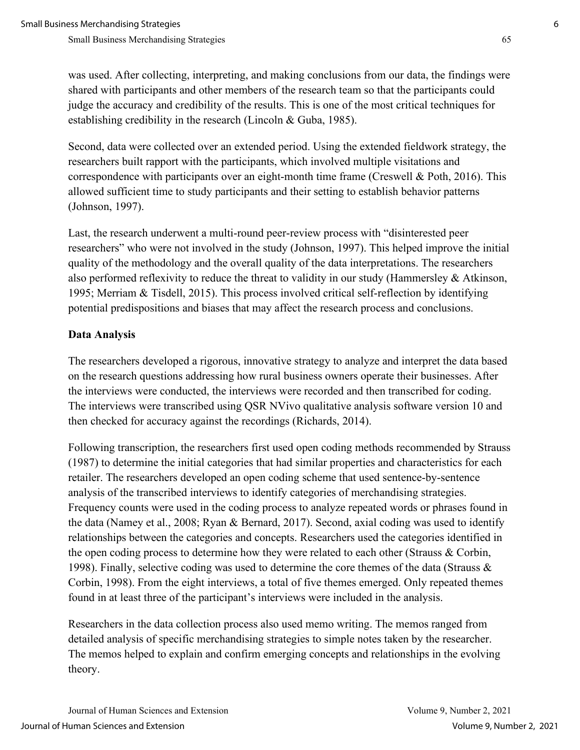was used. After collecting, interpreting, and making conclusions from our data, the findings were shared with participants and other members of the research team so that the participants could judge the accuracy and credibility of the results. This is one of the most critical techniques for establishing credibility in the research (Lincoln & Guba, 1985).

Second, data were collected over an extended period. Using the extended fieldwork strategy, the researchers built rapport with the participants, which involved multiple visitations and correspondence with participants over an eight-month time frame (Creswell & Poth, 2016). This allowed sufficient time to study participants and their setting to establish behavior patterns (Johnson, 1997).

Last, the research underwent a multi-round peer-review process with "disinterested peer researchers" who were not involved in the study (Johnson, 1997). This helped improve the initial quality of the methodology and the overall quality of the data interpretations. The researchers also performed reflexivity to reduce the threat to validity in our study (Hammersley & Atkinson, 1995; Merriam & Tisdell, 2015). This process involved critical self-reflection by identifying potential predispositions and biases that may affect the research process and conclusions.

#### **Data Analysis**

The researchers developed a rigorous, innovative strategy to analyze and interpret the data based on the research questions addressing how rural business owners operate their businesses. After the interviews were conducted, the interviews were recorded and then transcribed for coding. The interviews were transcribed using QSR NVivo qualitative analysis software version 10 and then checked for accuracy against the recordings (Richards, 2014).

Following transcription, the researchers first used open coding methods recommended by Strauss (1987) to determine the initial categories that had similar properties and characteristics for each retailer. The researchers developed an open coding scheme that used sentence-by-sentence analysis of the transcribed interviews to identify categories of merchandising strategies. Frequency counts were used in the coding process to analyze repeated words or phrases found in the data (Namey et al., 2008; Ryan & Bernard, 2017). Second, axial coding was used to identify relationships between the categories and concepts. Researchers used the categories identified in the open coding process to determine how they were related to each other (Strauss & Corbin, 1998). Finally, selective coding was used to determine the core themes of the data (Strauss & Corbin, 1998). From the eight interviews, a total of five themes emerged. Only repeated themes found in at least three of the participant's interviews were included in the analysis.

Researchers in the data collection process also used memo writing. The memos ranged from detailed analysis of specific merchandising strategies to simple notes taken by the researcher. The memos helped to explain and confirm emerging concepts and relationships in the evolving theory.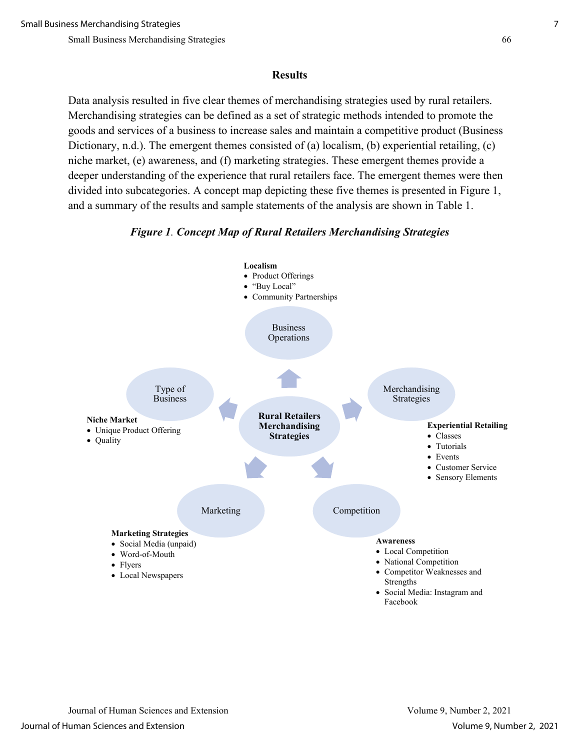#### **Results**

Data analysis resulted in five clear themes of merchandising strategies used by rural retailers. Merchandising strategies can be defined as a set of strategic methods intended to promote the goods and services of a business to increase sales and maintain a competitive product (Business Dictionary, n.d.). The emergent themes consisted of (a) localism, (b) experiential retailing, (c) niche market, (e) awareness, and (f) marketing strategies. These emergent themes provide a deeper understanding of the experience that rural retailers face. The emergent themes were then divided into subcategories. A concept map depicting these five themes is presented in Figure 1, and a summary of the results and sample statements of the analysis are shown in Table 1.



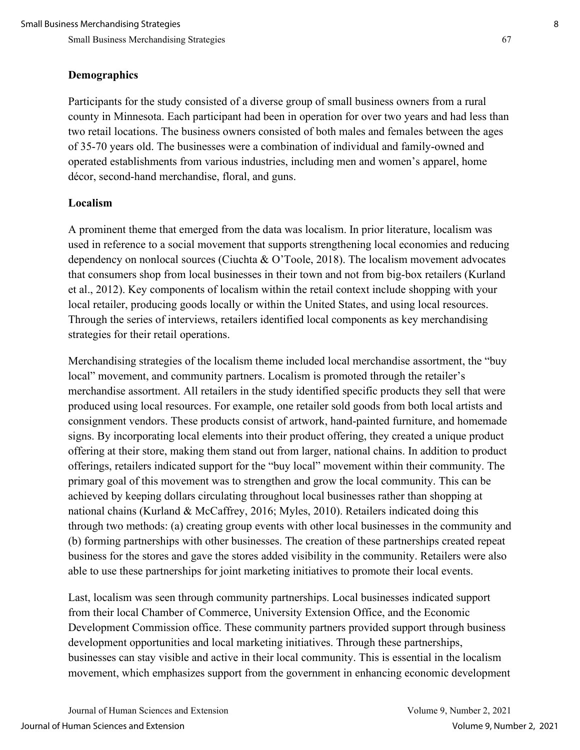#### **Demographics**

Participants for the study consisted of a diverse group of small business owners from a rural county in Minnesota. Each participant had been in operation for over two years and had less than two retail locations. The business owners consisted of both males and females between the ages of 35-70 years old. The businesses were a combination of individual and family-owned and operated establishments from various industries, including men and women's apparel, home décor, second-hand merchandise, floral, and guns.

## **Localism**

A prominent theme that emerged from the data was localism. In prior literature, localism was used in reference to a social movement that supports strengthening local economies and reducing dependency on nonlocal sources (Ciuchta & O'Toole, 2018). The localism movement advocates that consumers shop from local businesses in their town and not from big-box retailers (Kurland et al., 2012). Key components of localism within the retail context include shopping with your local retailer, producing goods locally or within the United States, and using local resources. Through the series of interviews, retailers identified local components as key merchandising strategies for their retail operations.

Merchandising strategies of the localism theme included local merchandise assortment, the "buy local" movement, and community partners. Localism is promoted through the retailer's merchandise assortment. All retailers in the study identified specific products they sell that were produced using local resources. For example, one retailer sold goods from both local artists and consignment vendors. These products consist of artwork, hand-painted furniture, and homemade signs. By incorporating local elements into their product offering, they created a unique product offering at their store, making them stand out from larger, national chains. In addition to product offerings, retailers indicated support for the "buy local" movement within their community. The primary goal of this movement was to strengthen and grow the local community. This can be achieved by keeping dollars circulating throughout local businesses rather than shopping at national chains (Kurland & McCaffrey, 2016; Myles, 2010). Retailers indicated doing this through two methods: (a) creating group events with other local businesses in the community and (b) forming partnerships with other businesses. The creation of these partnerships created repeat business for the stores and gave the stores added visibility in the community. Retailers were also able to use these partnerships for joint marketing initiatives to promote their local events.

Last, localism was seen through community partnerships. Local businesses indicated support from their local Chamber of Commerce, University Extension Office, and the Economic Development Commission office. These community partners provided support through business development opportunities and local marketing initiatives. Through these partnerships, businesses can stay visible and active in their local community. This is essential in the localism movement, which emphasizes support from the government in enhancing economic development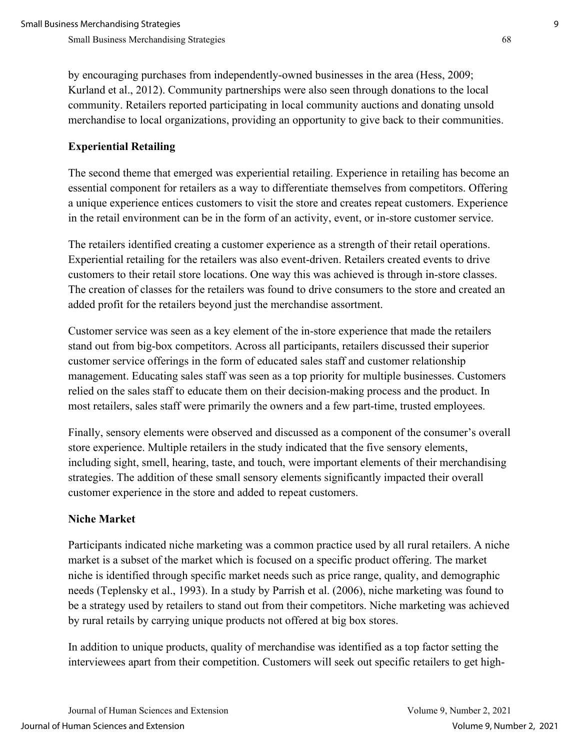by encouraging purchases from independently-owned businesses in the area (Hess, 2009; Kurland et al., 2012). Community partnerships were also seen through donations to the local community. Retailers reported participating in local community auctions and donating unsold merchandise to local organizations, providing an opportunity to give back to their communities.

## **Experiential Retailing**

The second theme that emerged was experiential retailing. Experience in retailing has become an essential component for retailers as a way to differentiate themselves from competitors. Offering a unique experience entices customers to visit the store and creates repeat customers. Experience in the retail environment can be in the form of an activity, event, or in-store customer service.

The retailers identified creating a customer experience as a strength of their retail operations. Experiential retailing for the retailers was also event-driven. Retailers created events to drive customers to their retail store locations. One way this was achieved is through in-store classes. The creation of classes for the retailers was found to drive consumers to the store and created an added profit for the retailers beyond just the merchandise assortment.

Customer service was seen as a key element of the in-store experience that made the retailers stand out from big-box competitors. Across all participants, retailers discussed their superior customer service offerings in the form of educated sales staff and customer relationship management. Educating sales staff was seen as a top priority for multiple businesses. Customers relied on the sales staff to educate them on their decision-making process and the product. In most retailers, sales staff were primarily the owners and a few part-time, trusted employees.

Finally, sensory elements were observed and discussed as a component of the consumer's overall store experience. Multiple retailers in the study indicated that the five sensory elements, including sight, smell, hearing, taste, and touch, were important elements of their merchandising strategies. The addition of these small sensory elements significantly impacted their overall customer experience in the store and added to repeat customers.

## **Niche Market**

Participants indicated niche marketing was a common practice used by all rural retailers. A niche market is a subset of the market which is focused on a specific product offering. The market niche is identified through specific market needs such as price range, quality, and demographic needs (Teplensky et al., 1993). In a study by Parrish et al. (2006), niche marketing was found to be a strategy used by retailers to stand out from their competitors. Niche marketing was achieved by rural retails by carrying unique products not offered at big box stores.

In addition to unique products, quality of merchandise was identified as a top factor setting the interviewees apart from their competition. Customers will seek out specific retailers to get high-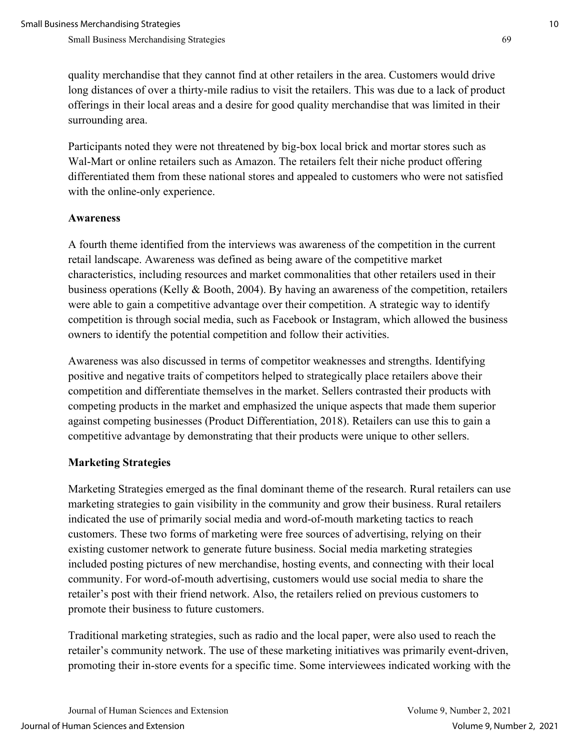quality merchandise that they cannot find at other retailers in the area. Customers would drive long distances of over a thirty-mile radius to visit the retailers. This was due to a lack of product offerings in their local areas and a desire for good quality merchandise that was limited in their surrounding area.

Participants noted they were not threatened by big-box local brick and mortar stores such as Wal-Mart or online retailers such as Amazon. The retailers felt their niche product offering differentiated them from these national stores and appealed to customers who were not satisfied with the online-only experience.

## **Awareness**

A fourth theme identified from the interviews was awareness of the competition in the current retail landscape. Awareness was defined as being aware of the competitive market characteristics, including resources and market commonalities that other retailers used in their business operations (Kelly & Booth, 2004). By having an awareness of the competition, retailers were able to gain a competitive advantage over their competition. A strategic way to identify competition is through social media, such as Facebook or Instagram, which allowed the business owners to identify the potential competition and follow their activities.

Awareness was also discussed in terms of competitor weaknesses and strengths. Identifying positive and negative traits of competitors helped to strategically place retailers above their competition and differentiate themselves in the market. Sellers contrasted their products with competing products in the market and emphasized the unique aspects that made them superior against competing businesses (Product Differentiation, 2018). Retailers can use this to gain a competitive advantage by demonstrating that their products were unique to other sellers.

## **Marketing Strategies**

Marketing Strategies emerged as the final dominant theme of the research. Rural retailers can use marketing strategies to gain visibility in the community and grow their business. Rural retailers indicated the use of primarily social media and word-of-mouth marketing tactics to reach customers. These two forms of marketing were free sources of advertising, relying on their existing customer network to generate future business. Social media marketing strategies included posting pictures of new merchandise, hosting events, and connecting with their local community. For word-of-mouth advertising, customers would use social media to share the retailer's post with their friend network. Also, the retailers relied on previous customers to promote their business to future customers.

Traditional marketing strategies, such as radio and the local paper, were also used to reach the retailer's community network. The use of these marketing initiatives was primarily event-driven, promoting their in-store events for a specific time. Some interviewees indicated working with the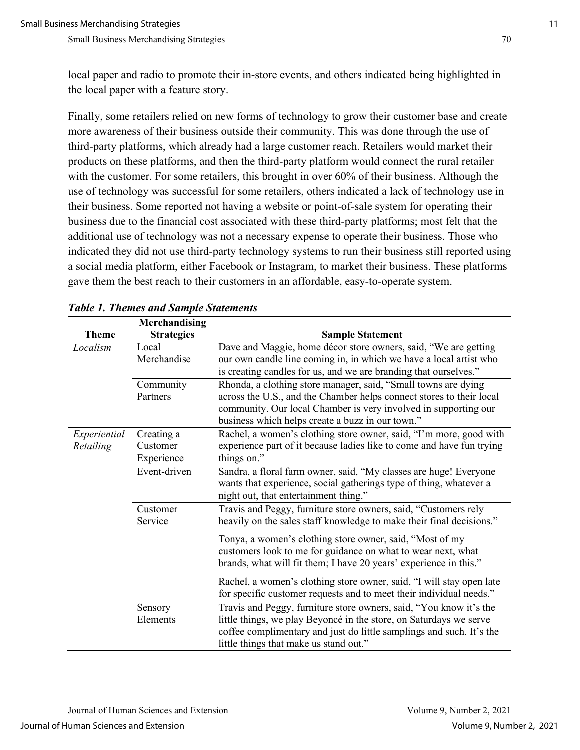local paper and radio to promote their in-store events, and others indicated being highlighted in the local paper with a feature story.

Finally, some retailers relied on new forms of technology to grow their customer base and create more awareness of their business outside their community. This was done through the use of third-party platforms, which already had a large customer reach. Retailers would market their products on these platforms, and then the third-party platform would connect the rural retailer with the customer. For some retailers, this brought in over 60% of their business. Although the use of technology was successful for some retailers, others indicated a lack of technology use in their business. Some reported not having a website or point-of-sale system for operating their business due to the financial cost associated with these third-party platforms; most felt that the additional use of technology was not a necessary expense to operate their business. Those who indicated they did not use third-party technology systems to run their business still reported using a social media platform, either Facebook or Instagram, to market their business. These platforms gave them the best reach to their customers in an affordable, easy-to-operate system.

|                           | Merchandising                        |                                                                                                                                                                                                                                                               |
|---------------------------|--------------------------------------|---------------------------------------------------------------------------------------------------------------------------------------------------------------------------------------------------------------------------------------------------------------|
| <b>Theme</b>              | <b>Strategies</b>                    | <b>Sample Statement</b>                                                                                                                                                                                                                                       |
| Localism                  | Local<br>Merchandise                 | Dave and Maggie, home décor store owners, said, "We are getting<br>our own candle line coming in, in which we have a local artist who<br>is creating candles for us, and we are branding that ourselves."                                                     |
|                           | Community<br>Partners                | Rhonda, a clothing store manager, said, "Small towns are dying<br>across the U.S., and the Chamber helps connect stores to their local<br>community. Our local Chamber is very involved in supporting our<br>business which helps create a buzz in our town." |
| Experiential<br>Retailing | Creating a<br>Customer<br>Experience | Rachel, a women's clothing store owner, said, "I'm more, good with<br>experience part of it because ladies like to come and have fun trying<br>things on."                                                                                                    |
|                           | Event-driven                         | Sandra, a floral farm owner, said, "My classes are huge! Everyone<br>wants that experience, social gatherings type of thing, whatever a<br>night out, that entertainment thing."                                                                              |
|                           | Customer<br>Service                  | Travis and Peggy, furniture store owners, said, "Customers rely<br>heavily on the sales staff knowledge to make their final decisions."                                                                                                                       |
|                           |                                      | Tonya, a women's clothing store owner, said, "Most of my<br>customers look to me for guidance on what to wear next, what<br>brands, what will fit them; I have 20 years' experience in this."                                                                 |
|                           |                                      | Rachel, a women's clothing store owner, said, "I will stay open late<br>for specific customer requests and to meet their individual needs."                                                                                                                   |
|                           | Sensory<br>Elements                  | Travis and Peggy, furniture store owners, said, "You know it's the<br>little things, we play Beyoncé in the store, on Saturdays we serve<br>coffee complimentary and just do little samplings and such. It's the<br>little things that make us stand out."    |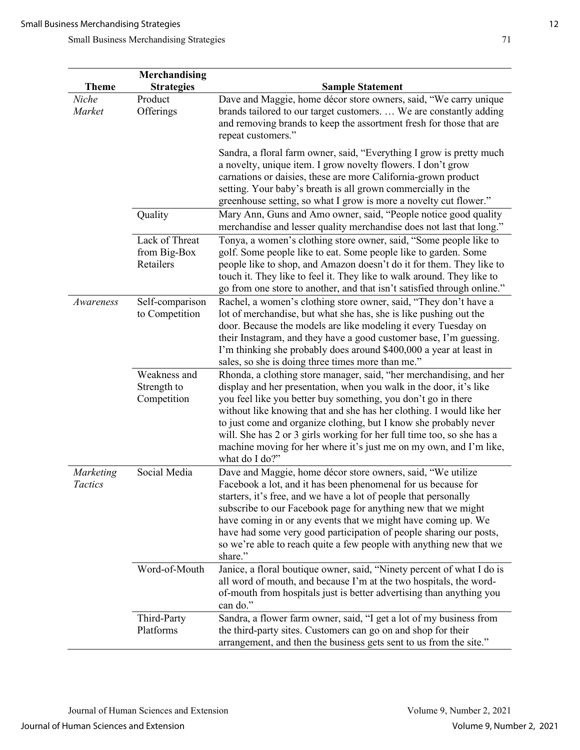|                       | <b>Merchandising</b>                        |                                                                                                                                                                                                                                                                                                                                                                                                                                                                                                                           |
|-----------------------|---------------------------------------------|---------------------------------------------------------------------------------------------------------------------------------------------------------------------------------------------------------------------------------------------------------------------------------------------------------------------------------------------------------------------------------------------------------------------------------------------------------------------------------------------------------------------------|
| <b>Theme</b><br>Niche | <b>Strategies</b><br>Product                | <b>Sample Statement</b><br>Dave and Maggie, home décor store owners, said, "We carry unique                                                                                                                                                                                                                                                                                                                                                                                                                               |
| Market                | Offerings                                   | brands tailored to our target customers.  We are constantly adding<br>and removing brands to keep the assortment fresh for those that are<br>repeat customers."                                                                                                                                                                                                                                                                                                                                                           |
|                       |                                             | Sandra, a floral farm owner, said, "Everything I grow is pretty much<br>a novelty, unique item. I grow novelty flowers. I don't grow<br>carnations or daisies, these are more California-grown product<br>setting. Your baby's breath is all grown commercially in the<br>greenhouse setting, so what I grow is more a novelty cut flower."                                                                                                                                                                               |
|                       | Quality                                     | Mary Ann, Guns and Amo owner, said, "People notice good quality<br>merchandise and lesser quality merchandise does not last that long."                                                                                                                                                                                                                                                                                                                                                                                   |
|                       | Lack of Threat<br>from Big-Box<br>Retailers | Tonya, a women's clothing store owner, said, "Some people like to<br>golf. Some people like to eat. Some people like to garden. Some<br>people like to shop, and Amazon doesn't do it for them. They like to<br>touch it. They like to feel it. They like to walk around. They like to<br>go from one store to another, and that isn't satisfied through online."                                                                                                                                                         |
| Awareness             | Self-comparison<br>to Competition           | Rachel, a women's clothing store owner, said, "They don't have a<br>lot of merchandise, but what she has, she is like pushing out the<br>door. Because the models are like modeling it every Tuesday on<br>their Instagram, and they have a good customer base, I'm guessing.<br>I'm thinking she probably does around \$400,000 a year at least in<br>sales, so she is doing three times more than me."                                                                                                                  |
|                       | Weakness and<br>Strength to<br>Competition  | Rhonda, a clothing store manager, said, "her merchandising, and her<br>display and her presentation, when you walk in the door, it's like<br>you feel like you better buy something, you don't go in there<br>without like knowing that and she has her clothing. I would like her<br>to just come and organize clothing, but I know she probably never<br>will. She has 2 or 3 girls working for her full time too, so she has a<br>machine moving for her where it's just me on my own, and I'm like,<br>what do I do?" |
| Marketing<br>Tactics  | Social Media                                | Dave and Maggie, home décor store owners, said, "We utilize<br>Facebook a lot, and it has been phenomenal for us because for<br>starters, it's free, and we have a lot of people that personally<br>subscribe to our Facebook page for anything new that we might<br>have coming in or any events that we might have coming up. We<br>have had some very good participation of people sharing our posts,<br>so we're able to reach quite a few people with anything new that we<br>share."                                |
|                       | Word-of-Mouth                               | Janice, a floral boutique owner, said, "Ninety percent of what I do is<br>all word of mouth, and because I'm at the two hospitals, the word-<br>of-mouth from hospitals just is better advertising than anything you<br>can do."                                                                                                                                                                                                                                                                                          |
|                       | Third-Party<br>Platforms                    | Sandra, a flower farm owner, said, "I get a lot of my business from<br>the third-party sites. Customers can go on and shop for their                                                                                                                                                                                                                                                                                                                                                                                      |
|                       |                                             | arrangement, and then the business gets sent to us from the site."                                                                                                                                                                                                                                                                                                                                                                                                                                                        |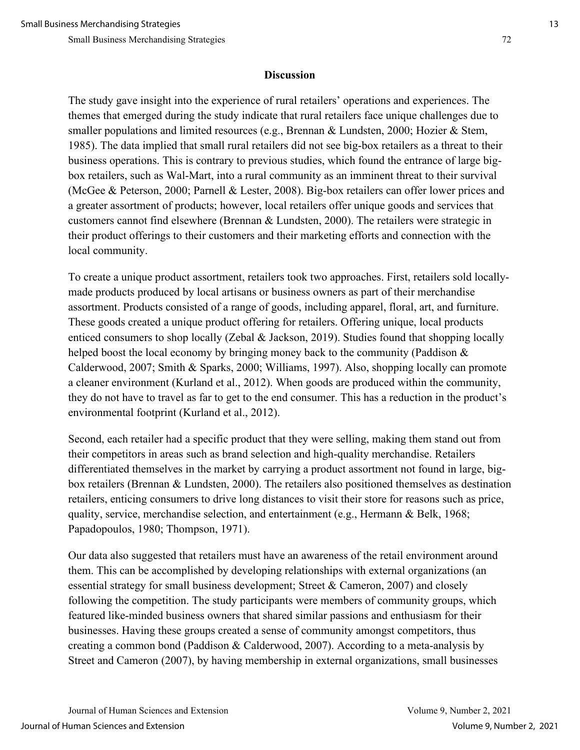#### **Discussion**

The study gave insight into the experience of rural retailers' operations and experiences. The themes that emerged during the study indicate that rural retailers face unique challenges due to smaller populations and limited resources (e.g., Brennan & Lundsten, 2000; Hozier & Stem, 1985). The data implied that small rural retailers did not see big-box retailers as a threat to their business operations. This is contrary to previous studies, which found the entrance of large bigbox retailers, such as Wal-Mart, into a rural community as an imminent threat to their survival (McGee & Peterson, 2000; Parnell & Lester, 2008). Big-box retailers can offer lower prices and a greater assortment of products; however, local retailers offer unique goods and services that customers cannot find elsewhere (Brennan & Lundsten, 2000). The retailers were strategic in their product offerings to their customers and their marketing efforts and connection with the local community.

To create a unique product assortment, retailers took two approaches. First, retailers sold locallymade products produced by local artisans or business owners as part of their merchandise assortment. Products consisted of a range of goods, including apparel, floral, art, and furniture. These goods created a unique product offering for retailers. Offering unique, local products enticed consumers to shop locally (Zebal & Jackson, 2019). Studies found that shopping locally helped boost the local economy by bringing money back to the community (Paddison & Calderwood, 2007; Smith & Sparks, 2000; Williams, 1997). Also, shopping locally can promote a cleaner environment (Kurland et al., 2012). When goods are produced within the community, they do not have to travel as far to get to the end consumer. This has a reduction in the product's environmental footprint (Kurland et al., 2012).

Second, each retailer had a specific product that they were selling, making them stand out from their competitors in areas such as brand selection and high-quality merchandise. Retailers differentiated themselves in the market by carrying a product assortment not found in large, bigbox retailers (Brennan & Lundsten, 2000). The retailers also positioned themselves as destination retailers, enticing consumers to drive long distances to visit their store for reasons such as price, quality, service, merchandise selection, and entertainment (e.g., Hermann & Belk, 1968; Papadopoulos, 1980; Thompson, 1971).

Our data also suggested that retailers must have an awareness of the retail environment around them. This can be accomplished by developing relationships with external organizations (an essential strategy for small business development; Street & Cameron, 2007) and closely following the competition. The study participants were members of community groups, which featured like-minded business owners that shared similar passions and enthusiasm for their businesses. Having these groups created a sense of community amongst competitors, thus creating a common bond (Paddison & Calderwood, 2007). According to a meta-analysis by Street and Cameron (2007), by having membership in external organizations, small businesses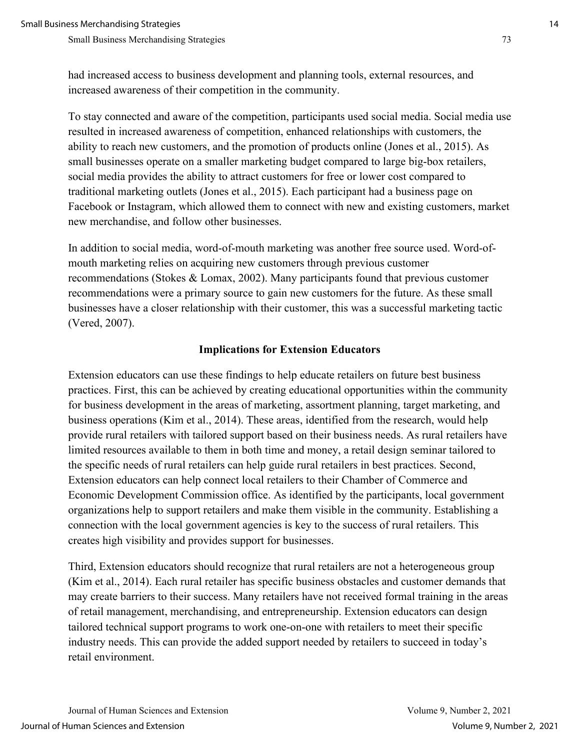had increased access to business development and planning tools, external resources, and increased awareness of their competition in the community.

To stay connected and aware of the competition, participants used social media. Social media use resulted in increased awareness of competition, enhanced relationships with customers, the ability to reach new customers, and the promotion of products online (Jones et al., 2015). As small businesses operate on a smaller marketing budget compared to large big-box retailers, social media provides the ability to attract customers for free or lower cost compared to traditional marketing outlets (Jones et al., 2015). Each participant had a business page on Facebook or Instagram, which allowed them to connect with new and existing customers, market new merchandise, and follow other businesses.

In addition to social media, word-of-mouth marketing was another free source used. Word-ofmouth marketing relies on acquiring new customers through previous customer recommendations (Stokes & Lomax, 2002). Many participants found that previous customer recommendations were a primary source to gain new customers for the future. As these small businesses have a closer relationship with their customer, this was a successful marketing tactic (Vered, 2007).

#### **Implications for Extension Educators**

Extension educators can use these findings to help educate retailers on future best business practices. First, this can be achieved by creating educational opportunities within the community for business development in the areas of marketing, assortment planning, target marketing, and business operations (Kim et al., 2014). These areas, identified from the research, would help provide rural retailers with tailored support based on their business needs. As rural retailers have limited resources available to them in both time and money, a retail design seminar tailored to the specific needs of rural retailers can help guide rural retailers in best practices. Second, Extension educators can help connect local retailers to their Chamber of Commerce and Economic Development Commission office. As identified by the participants, local government organizations help to support retailers and make them visible in the community. Establishing a connection with the local government agencies is key to the success of rural retailers. This creates high visibility and provides support for businesses.

Third, Extension educators should recognize that rural retailers are not a heterogeneous group (Kim et al., 2014). Each rural retailer has specific business obstacles and customer demands that may create barriers to their success. Many retailers have not received formal training in the areas of retail management, merchandising, and entrepreneurship. Extension educators can design tailored technical support programs to work one-on-one with retailers to meet their specific industry needs. This can provide the added support needed by retailers to succeed in today's retail environment.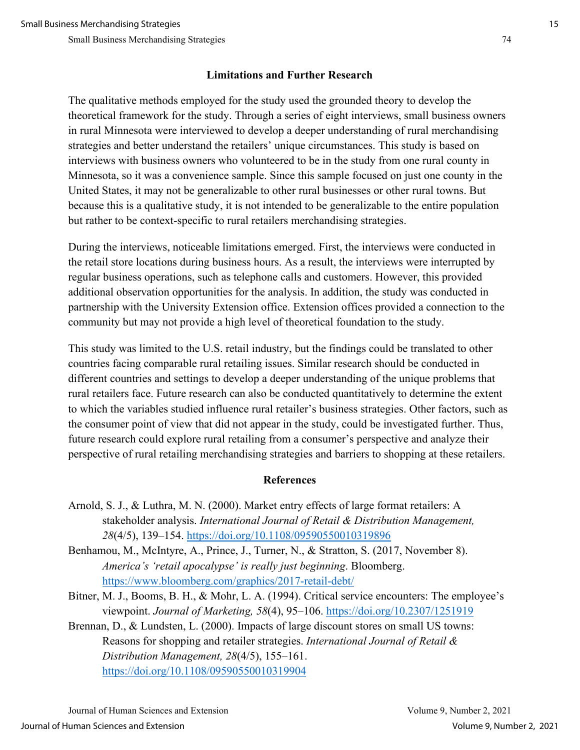## **Limitations and Further Research**

The qualitative methods employed for the study used the grounded theory to develop the theoretical framework for the study. Through a series of eight interviews, small business owners in rural Minnesota were interviewed to develop a deeper understanding of rural merchandising strategies and better understand the retailers' unique circumstances. This study is based on interviews with business owners who volunteered to be in the study from one rural county in Minnesota, so it was a convenience sample. Since this sample focused on just one county in the United States, it may not be generalizable to other rural businesses or other rural towns. But because this is a qualitative study, it is not intended to be generalizable to the entire population but rather to be context-specific to rural retailers merchandising strategies.

During the interviews, noticeable limitations emerged. First, the interviews were conducted in the retail store locations during business hours. As a result, the interviews were interrupted by regular business operations, such as telephone calls and customers. However, this provided additional observation opportunities for the analysis. In addition, the study was conducted in partnership with the University Extension office. Extension offices provided a connection to the community but may not provide a high level of theoretical foundation to the study.

This study was limited to the U.S. retail industry, but the findings could be translated to other countries facing comparable rural retailing issues. Similar research should be conducted in different countries and settings to develop a deeper understanding of the unique problems that rural retailers face. Future research can also be conducted quantitatively to determine the extent to which the variables studied influence rural retailer's business strategies. Other factors, such as the consumer point of view that did not appear in the study, could be investigated further. Thus, future research could explore rural retailing from a consumer's perspective and analyze their perspective of rural retailing merchandising strategies and barriers to shopping at these retailers.

## **References**

- Arnold, S. J., & Luthra, M. N. (2000). Market entry effects of large format retailers: A stakeholder analysis. *International Journal of Retail & Distribution Management, 28*(4/5), 139–154.<https://doi.org/10.1108/09590550010319896>
- Benhamou, M., McIntyre, A., Prince, J., Turner, N., & Stratton, S. (2017, November 8). *America's 'retail apocalypse' is really just beginning*. Bloomberg. <https://www.bloomberg.com/graphics/2017-retail-debt/>
- Bitner, M. J., Booms, B. H., & Mohr, L. A. (1994). Critical service encounters: The employee's viewpoint. *Journal of Marketing, 58*(4), 95–106.<https://doi.org/10.2307/1251919>
- Brennan, D., & Lundsten, L. (2000). Impacts of large discount stores on small US towns: Reasons for shopping and retailer strategies. *International Journal of Retail & Distribution Management, 28*(4/5), 155–161. <https://doi.org/10.1108/09590550010319904>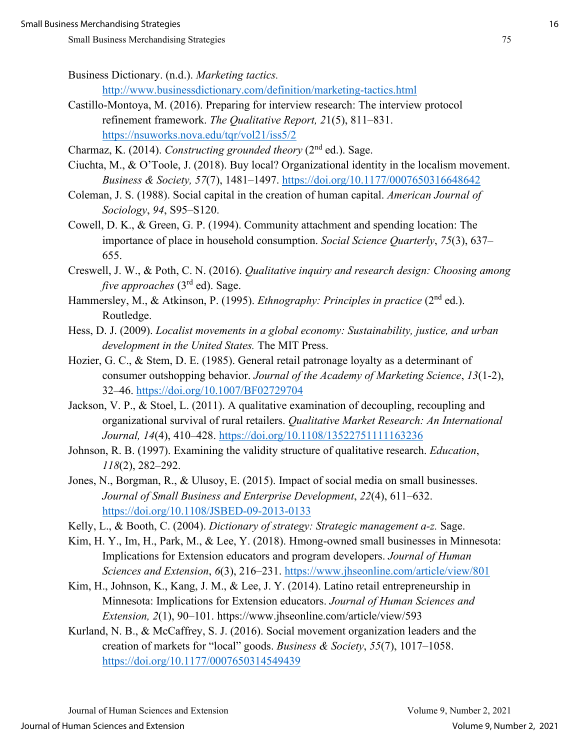Business Dictionary. (n.d.). *Marketing tactics.*  <http://www.businessdictionary.com/definition/marketing-tactics.html>

- Castillo-Montoya, M. (2016). Preparing for interview research: The interview protocol refinement framework. *The Qualitative Report, 2*1(5), 811–831. <https://nsuworks.nova.edu/tqr/vol21/iss5/2>
- Charmaz, K. (2014). *Constructing grounded theory* (2nd ed.). Sage.
- Ciuchta, M., & O'Toole, J. (2018). Buy local? Organizational identity in the localism movement. *Business & Society, 57*(7), 1481–1497.<https://doi.org/10.1177/0007650316648642>
- Coleman, J. S. (1988). Social capital in the creation of human capital. *American Journal of Sociology*, *94*, S95–S120.
- Cowell, D. K., & Green, G. P. (1994). Community attachment and spending location: The importance of place in household consumption. *Social Science Quarterly*, *75*(3), 637– 655.
- Creswell, J. W., & Poth, C. N. (2016). *Qualitative inquiry and research design: Choosing among five approaches* (3<sup>rd</sup> ed). Sage.
- Hammersley, M., & Atkinson, P. (1995). *Ethnography: Principles in practice* (2<sup>nd</sup> ed.). Routledge.
- Hess, D. J. (2009). *Localist movements in a global economy: Sustainability, justice, and urban development in the United States.* The MIT Press.
- Hozier, G. C., & Stem, D. E. (1985). General retail patronage loyalty as a determinant of consumer outshopping behavior. *Journal of the Academy of Marketing Science*, *13*(1-2), 32–46.<https://doi.org/10.1007/BF02729704>
- Jackson, V. P., & Stoel, L. (2011). A qualitative examination of decoupling, recoupling and organizational survival of rural retailers. *Qualitative Market Research: An International Journal, 14*(4), 410–428.<https://doi.org/10.1108/13522751111163236>
- Johnson, R. B. (1997). Examining the validity structure of qualitative research. *Education*, *118*(2), 282–292.
- Jones, N., Borgman, R., & Ulusoy, E. (2015). Impact of social media on small businesses. *Journal of Small Business and Enterprise Development*, *22*(4), 611–632. <https://doi.org/10.1108/JSBED-09-2013-0133>
- Kelly, L., & Booth, C. (2004). *Dictionary of strategy: Strategic management a-z.* Sage.
- Kim, H. Y., Im, H., Park, M., & Lee, Y. (2018). Hmong-owned small businesses in Minnesota: Implications for Extension educators and program developers. *Journal of Human Sciences and Extension*, *6*(3), 216–231.<https://www.jhseonline.com/article/view/801>
- Kim, H., Johnson, K., Kang, J. M., & Lee, J. Y. (2014). Latino retail entrepreneurship in Minnesota: Implications for Extension educators. *Journal of Human Sciences and Extension, 2*(1), 90–101. https://www.jhseonline.com/article/view/593
- Kurland, N. B., & McCaffrey, S. J. (2016). Social movement organization leaders and the creation of markets for "local" goods. *Business & Society*, *55*(7), 1017–1058. <https://doi.org/10.1177/0007650314549439>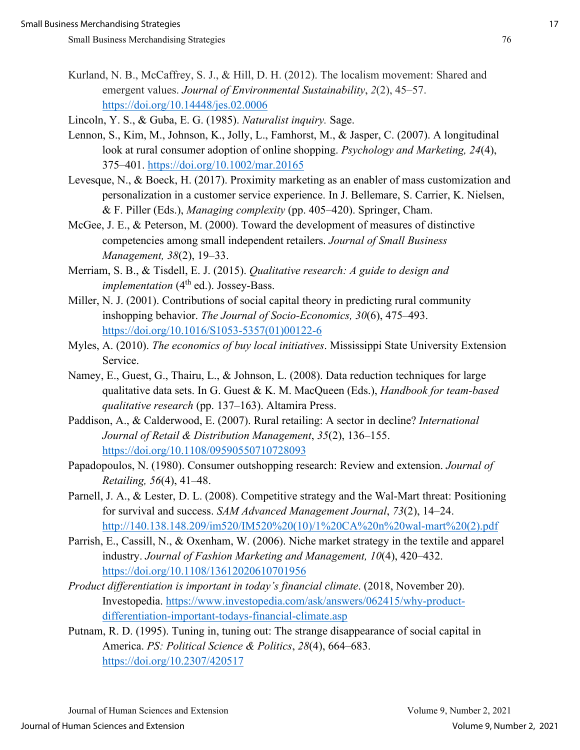Kurland, N. B., McCaffrey, S. J., & Hill, D. H. (2012). The localism movement: Shared and emergent values. *Journal of Environmental Sustainability*, *2*(2), 45–57. <https://doi.org/10.14448/jes.02.0006>

Lincoln, Y. S., & Guba, E. G. (1985). *Naturalist inquiry.* Sage.

- Lennon, S., Kim, M., Johnson, K., Jolly, L., Famhorst, M., & Jasper, C. (2007). A longitudinal look at rural consumer adoption of online shopping. *Psychology and Marketing, 24*(4), 375–401.<https://doi.org/10.1002/mar.20165>
- Levesque, N., & Boeck, H. (2017). Proximity marketing as an enabler of mass customization and personalization in a customer service experience. In J. Bellemare, S. Carrier, K. Nielsen, & F. Piller (Eds.), *Managing complexity* (pp. 405–420). Springer, Cham.
- McGee, J. E., & Peterson, M. (2000). Toward the development of measures of distinctive competencies among small independent retailers. *Journal of Small Business Management, 38*(2), 19–33.
- Merriam, S. B., & Tisdell, E. J. (2015). *Qualitative research: A guide to design and implementation* (4<sup>th</sup> ed.). Jossey-Bass.
- Miller, N. J. (2001). Contributions of social capital theory in predicting rural community inshopping behavior. *The Journal of Socio-Economics, 30*(6), 475–493. [https://doi.org/10.1016/S1053-5357\(01\)00122-6](https://doi.org/10.1016/S1053-5357(01)00122-6)
- Myles, A. (2010). *The economics of buy local initiatives*. Mississippi State University Extension Service.
- Namey, E., Guest, G., Thairu, L., & Johnson, L. (2008). Data reduction techniques for large qualitative data sets. In G. Guest & K. M. MacQueen (Eds.), *Handbook for team-based qualitative research* (pp. 137–163). Altamira Press.
- Paddison, A., & Calderwood, E. (2007). Rural retailing: A sector in decline? *International Journal of Retail & Distribution Management*, *35*(2), 136–155. <https://doi.org/10.1108/09590550710728093>
- Papadopoulos, N. (1980). Consumer outshopping research: Review and extension. *Journal of Retailing, 56*(4), 41–48.
- Parnell, J. A., & Lester, D. L. (2008). Competitive strategy and the Wal-Mart threat: Positioning for survival and success. *SAM Advanced Management Journal*, *73*(2), 14–24. [http://140.138.148.209/im520/IM520%20\(10\)/1%20CA%20n%20wal-mart%20\(2\).pdf](http://140.138.148.209/im520/IM520%20(10)/1%20CA%20n%20wal-mart%20(2).pdf)
- Parrish, E., Cassill, N., & Oxenham, W. (2006). Niche market strategy in the textile and apparel industry. *Journal of Fashion Marketing and Management, 10*(4), 420–432. <https://doi.org/10.1108/13612020610701956>
- *Product differentiation is important in today's financial climate*. (2018, November 20). Investopedia. [https://www.investopedia.com/ask/answers/062415/why-product](https://www.investopedia.com/ask/answers/062415/why-product-differentiation-important-todays-financial-climate.asp)[differentiation-important-todays-financial-climate.asp](https://www.investopedia.com/ask/answers/062415/why-product-differentiation-important-todays-financial-climate.asp)
- Putnam, R. D. (1995). Tuning in, tuning out: The strange disappearance of social capital in America. *PS: Political Science & Politics*, *28*(4), 664–683. <https://doi.org/10.2307/420517>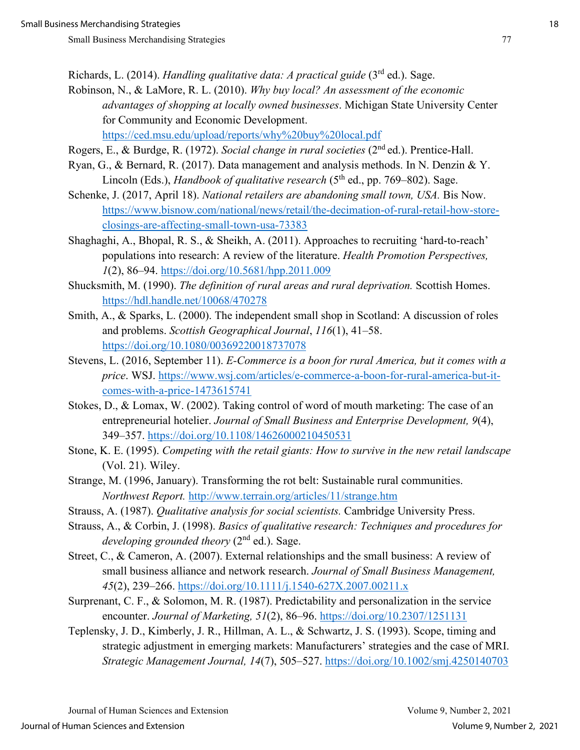- Richards, L. (2014). *Handling qualitative data: A practical guide* (3rd ed.). Sage.
- Robinson, N., & LaMore, R. L. (2010). *Why buy local? An assessment of the economic advantages of shopping at locally owned businesses*. Michigan State University Center for Community and Economic Development. <https://ced.msu.edu/upload/reports/why%20buy%20local.pdf>
- Rogers, E., & Burdge, R. (1972). *Social change in rural societies* (2nd ed.). Prentice-Hall.
- Ryan, G., & Bernard, R. (2017). Data management and analysis methods. In N. Denzin & Y. Lincoln (Eds.), *Handbook of qualitative research* (5<sup>th</sup> ed., pp. 769–802). Sage.
- Schenke, J. (2017, April 18). *National retailers are abandoning small town, USA.* Bis Now. [https://www.bisnow.com/national/news/retail/the-decimation-of-rural-retail-how-store](https://www.bisnow.com/national/news/retail/the-decimation-of-rural-retail-how-store-closings-are-affecting-small-town-usa-73383)[closings-are-affecting-small-town-usa-73383](https://www.bisnow.com/national/news/retail/the-decimation-of-rural-retail-how-store-closings-are-affecting-small-town-usa-73383)
- Shaghaghi, A., Bhopal, R. S., & Sheikh, A. (2011). Approaches to recruiting 'hard-to-reach' populations into research: A review of the literature. *Health Promotion Perspectives, 1*(2), 86–94.<https://doi.org/10.5681/hpp.2011.009>
- Shucksmith, M. (1990). *The definition of rural areas and rural deprivation.* Scottish Homes. <https://hdl.handle.net/10068/470278>
- Smith, A., & Sparks, L. (2000). The independent small shop in Scotland: A discussion of roles and problems. *Scottish Geographical Journal*, *116*(1), 41–58. <https://doi.org/10.1080/00369220018737078>
- Stevens, L. (2016, September 11). *E-Commerce is a boon for rural America, but it comes with a price*. WSJ. [https://www.wsj.com/articles/e-commerce-a-boon-for-rural-america-but-it](https://www.wsj.com/articles/e-commerce-a-boon-for-rural-america-but-it-comes-with-a-price-1473615741)[comes-with-a-price-1473615741](https://www.wsj.com/articles/e-commerce-a-boon-for-rural-america-but-it-comes-with-a-price-1473615741)
- Stokes, D., & Lomax, W. (2002). Taking control of word of mouth marketing: The case of an entrepreneurial hotelier. *Journal of Small Business and Enterprise Development, 9*(4), 349–357.<https://doi.org/10.1108/14626000210450531>
- Stone, K. E. (1995). *Competing with the retail giants: How to survive in the new retail landscape* (Vol. 21). Wiley.
- Strange, M. (1996, January). Transforming the rot belt: Sustainable rural communities. *Northwest Report.* <http://www.terrain.org/articles/11/strange.htm>
- Strauss, A. (1987). *Qualitative analysis for social scientists.* Cambridge University Press.
- Strauss, A., & Corbin, J. (1998). *Basics of qualitative research: Techniques and procedures for developing grounded theory* (2nd ed.). Sage.
- Street, C., & Cameron, A. (2007). External relationships and the small business: A review of small business alliance and network research. *Journal of Small Business Management, 45*(2), 239–266.<https://doi.org/10.1111/j.1540-627X.2007.00211.x>
- Surprenant, C. F., & Solomon, M. R. (1987). Predictability and personalization in the service encounter. *Journal of Marketing, 51*(2), 86–96.<https://doi.org/10.2307/1251131>
- Teplensky, J. D., Kimberly, J. R., Hillman, A. L., & Schwartz, J. S. (1993). Scope, timing and strategic adjustment in emerging markets: Manufacturers' strategies and the case of MRI. *Strategic Management Journal, 14*(7), 505–527.<https://doi.org/10.1002/smj.4250140703>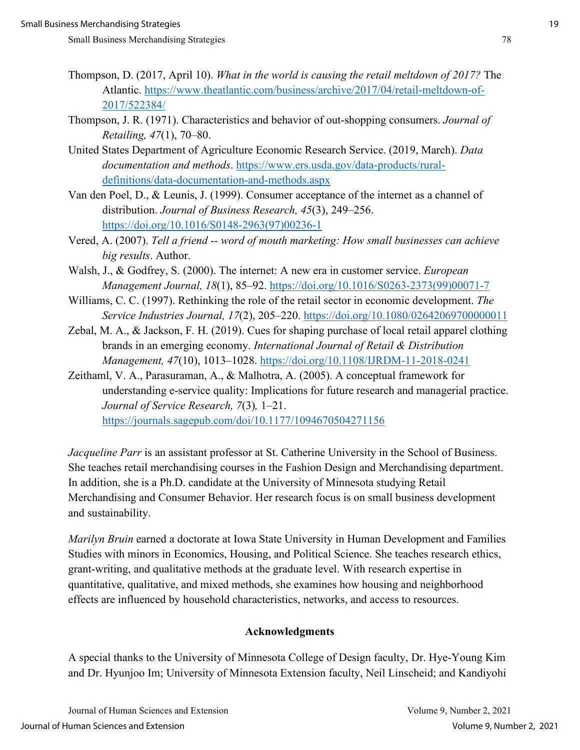- Thompson, D. (2017, April 10). *What in the world is causing the retail meltdown of 2017?* The Atlantic. [https://www.theatlantic.com/business/archive/2017/04/retail-meltdown-of-](https://www.theatlantic.com/business/archive/2017/04/retail-meltdown-of-2017/522384/)[2017/522384/](https://www.theatlantic.com/business/archive/2017/04/retail-meltdown-of-2017/522384/)
- Thompson, J. R. (1971). Characteristics and behavior of out-shopping consumers. *Journal of Retailing, 47*(1), 70–80.
- United States Department of Agriculture Economic Research Service. (2019, March). *Data documentation and methods*. [https://www.ers.usda.gov/data-products/rural](https://www.ers.usda.gov/data-products/rural-definitions/data-documentation-and-methods.aspx)[definitions/data-documentation-and-methods.aspx](https://www.ers.usda.gov/data-products/rural-definitions/data-documentation-and-methods.aspx)
- Van den Poel, D., & Leunis, J. (1999). Consumer acceptance of the internet as a channel of distribution. *Journal of Business Research, 45*(3), 249–256. [https://doi.org/10.1016/S0148-2963\(97\)00236-1](https://doi.org/10.1016/S0148-2963(97)00236-1)
- Vered, A. (2007). *Tell a friend -- word of mouth marketing: How small businesses can achieve big results*. Author.
- Walsh, J., & Godfrey, S. (2000). The internet: A new era in customer service. *European Management Journal, 18*(1), 85–92. [https://doi.org/10.1016/S0263-2373\(99\)00071-7](https://doi.org/10.1016/S0263-2373(99)00071-7)
- Williams, C. C. (1997). Rethinking the role of the retail sector in economic development. *The Service Industries Journal, 17*(2), 205–220.<https://doi.org/10.1080/02642069700000011>
- Zebal, M. A., & Jackson, F. H. (2019). Cues for shaping purchase of local retail apparel clothing brands in an emerging economy. *International Journal of Retail & Distribution Management, 47*(10), 1013–1028.<https://doi.org/10.1108/IJRDM-11-2018-0241>
- Zeithaml, V. A., Parasuraman, A., & Malhotra, A. (2005). A conceptual framework for understanding e-service quality: Implications for future research and managerial practice. *Journal of Service Research, 7*(3)*,* 1–21. <https://journals.sagepub.com/doi/10.1177/1094670504271156>

*Jacqueline Parr* is an assistant professor at St. Catherine University in the School of Business. She teaches retail merchandising courses in the Fashion Design and Merchandising department. In addition, she is a Ph.D. candidate at the University of Minnesota studying Retail Merchandising and Consumer Behavior. Her research focus is on small business development and sustainability.

*Marilyn Bruin* earned a doctorate at Iowa State University in Human Development and Families Studies with minors in Economics, Housing, and Political Science. She teaches research ethics, grant-writing, and qualitative methods at the graduate level. With research expertise in quantitative, qualitative, and mixed methods, she examines how housing and neighborhood effects are influenced by household characteristics, networks, and access to resources.

#### **Acknowledgments**

A special thanks to the University of Minnesota College of Design faculty, Dr. Hye-Young Kim and Dr. Hyunjoo Im; University of Minnesota Extension faculty, Neil Linscheid; and Kandiyohi